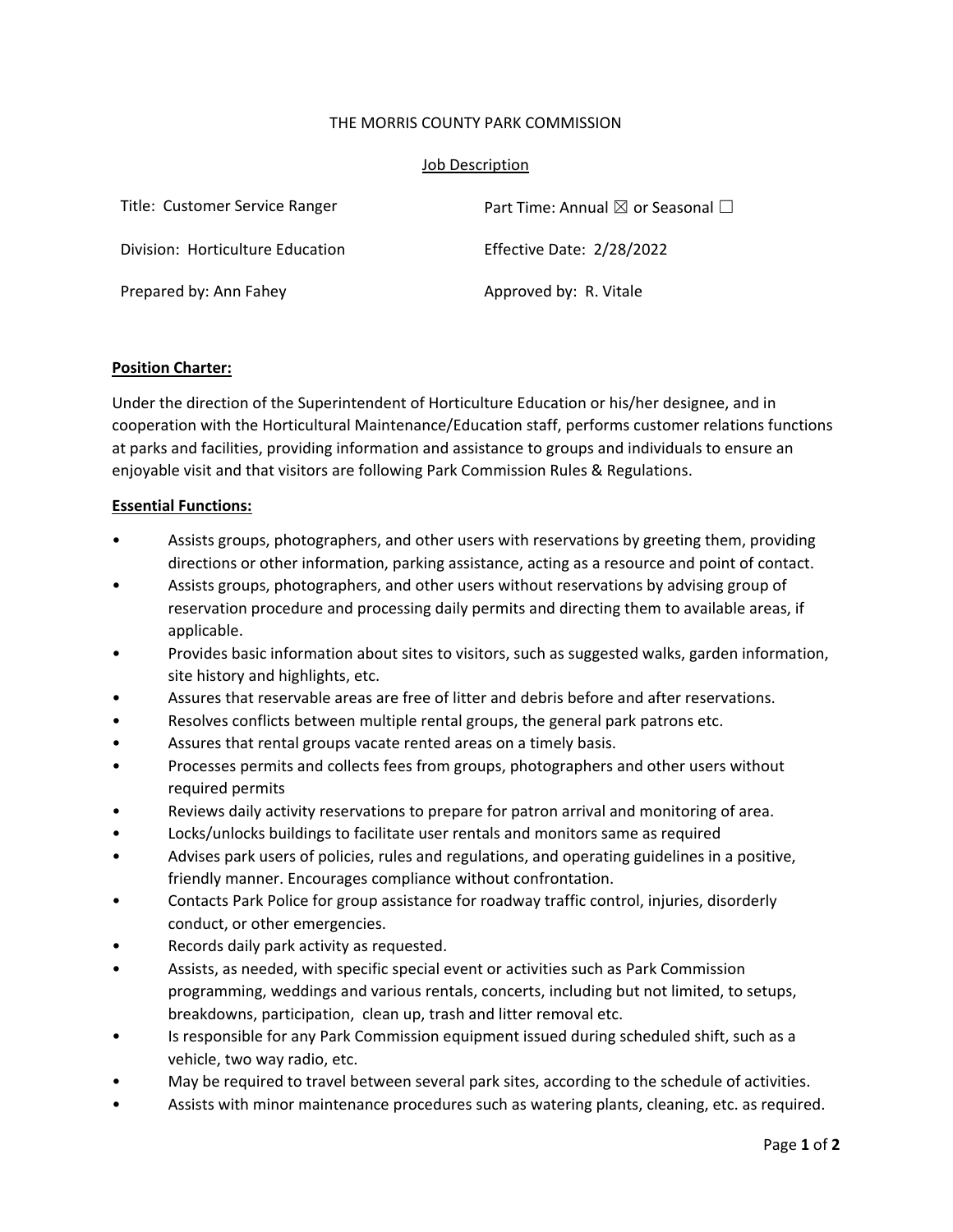### THE MORRIS COUNTY PARK COMMISSION

#### Job Description

| Title: Customer Service Ranger   | Part Time: Annual $\boxtimes$ or Seasonal $\Box$ |
|----------------------------------|--------------------------------------------------|
| Division: Horticulture Education | Effective Date: 2/28/2022                        |
| Prepared by: Ann Fahey           | Approved by: R. Vitale                           |

### **Position Charter:**

Under the direction of the Superintendent of Horticulture Education or his/her designee, and in cooperation with the Horticultural Maintenance/Education staff, performs customer relations functions at parks and facilities, providing information and assistance to groups and individuals to ensure an enjoyable visit and that visitors are following Park Commission Rules & Regulations.

### **Essential Functions:**

- Assists groups, photographers, and other users with reservations by greeting them, providing directions or other information, parking assistance, acting as a resource and point of contact.
- Assists groups, photographers, and other users without reservations by advising group of reservation procedure and processing daily permits and directing them to available areas, if applicable.
- Provides basic information about sites to visitors, such as suggested walks, garden information, site history and highlights, etc.
- Assures that reservable areas are free of litter and debris before and after reservations.
- Resolves conflicts between multiple rental groups, the general park patrons etc.
- Assures that rental groups vacate rented areas on a timely basis.
- Processes permits and collects fees from groups, photographers and other users without required permits
- Reviews daily activity reservations to prepare for patron arrival and monitoring of area.
- Locks/unlocks buildings to facilitate user rentals and monitors same as required
- Advises park users of policies, rules and regulations, and operating guidelines in a positive, friendly manner. Encourages compliance without confrontation.
- Contacts Park Police for group assistance for roadway traffic control, injuries, disorderly conduct, or other emergencies.
- Records daily park activity as requested.
- Assists, as needed, with specific special event or activities such as Park Commission programming, weddings and various rentals, concerts, including but not limited, to setups, breakdowns, participation, clean up, trash and litter removal etc.
- Is responsible for any Park Commission equipment issued during scheduled shift, such as a vehicle, two way radio, etc.
- May be required to travel between several park sites, according to the schedule of activities.
- Assists with minor maintenance procedures such as watering plants, cleaning, etc. as required.